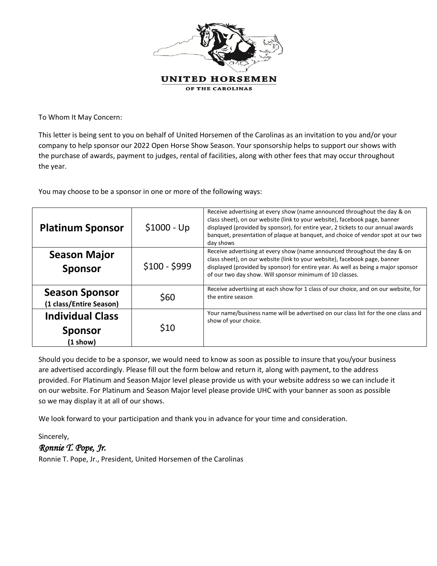

To Whom It May Concern:

This letter is being sent to you on behalf of United Horsemen of the Carolinas as an invitation to you and/or your company to help sponsor our 2022 Open Horse Show Season. Your sponsorship helps to support our shows with the purchase of awards, payment to judges, rental of facilities, along with other fees that may occur throughout the year.

You may choose to be a sponsor in one or more of the following ways:

| <b>Platinum Sponsor</b>                                    | $$1000 - Up$  | Receive advertising at every show (name announced throughout the day & on<br>class sheet), on our website (link to your website), facebook page, banner<br>displayed (provided by sponsor), for entire year, 2 tickets to our annual awards<br>banquet, presentation of plaque at banquet, and choice of vendor spot at our two<br>day shows |
|------------------------------------------------------------|---------------|----------------------------------------------------------------------------------------------------------------------------------------------------------------------------------------------------------------------------------------------------------------------------------------------------------------------------------------------|
| <b>Season Major</b><br><b>Sponsor</b>                      | $$100 - $999$ | Receive advertising at every show (name announced throughout the day & on<br>class sheet), on our website (link to your website), facebook page, banner<br>displayed (provided by sponsor) for entire year. As well as being a major sponsor<br>of our two day show. Will sponsor minimum of 10 classes.                                     |
| <b>Season Sponsor</b><br>(1 class/Entire Season)           | \$60          | Receive advertising at each show for 1 class of our choice, and on our website, for<br>the entire season                                                                                                                                                                                                                                     |
| <b>Individual Class</b><br><b>Sponsor</b><br>$(1$ show $)$ | \$10          | Your name/business name will be advertised on our class list for the one class and<br>show of your choice.                                                                                                                                                                                                                                   |

Should you decide to be a sponsor, we would need to know as soon as possible to insure that you/your business are advertised accordingly. Please fill out the form below and return it, along with payment, to the address provided. For Platinum and Season Major level please provide us with your website address so we can include it on our website. For Platinum and Season Major level please provide UHC with your banner as soon as possible so we may display it at all of our shows.

We look forward to your participation and thank you in advance for your time and consideration.

Sincerely,

## *Ronnie T. Pope, Jr.*

Ronnie T. Pope, Jr., President, United Horsemen of the Carolinas